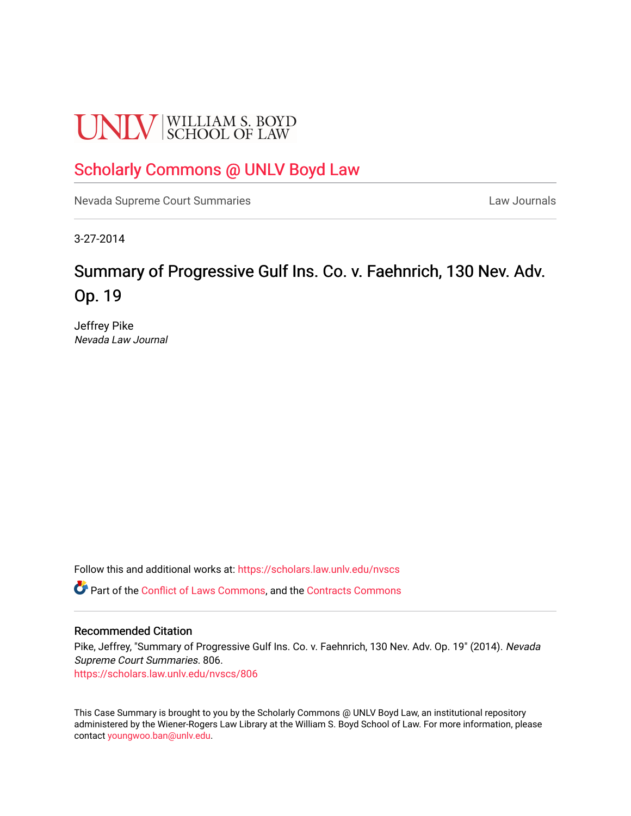# **UNLV** SCHOOL OF LAW

# [Scholarly Commons @ UNLV Boyd Law](https://scholars.law.unlv.edu/)

[Nevada Supreme Court Summaries](https://scholars.law.unlv.edu/nvscs) **Law Journals** Law Journals

3-27-2014

# Summary of Progressive Gulf Ins. Co. v. Faehnrich, 130 Nev. Adv. Op. 19

Jeffrey Pike Nevada Law Journal

Follow this and additional works at: [https://scholars.law.unlv.edu/nvscs](https://scholars.law.unlv.edu/nvscs?utm_source=scholars.law.unlv.edu%2Fnvscs%2F806&utm_medium=PDF&utm_campaign=PDFCoverPages)

Part of the [Conflict of Laws Commons,](http://network.bepress.com/hgg/discipline/588?utm_source=scholars.law.unlv.edu%2Fnvscs%2F806&utm_medium=PDF&utm_campaign=PDFCoverPages) and the Contracts Commons

## Recommended Citation

Pike, Jeffrey, "Summary of Progressive Gulf Ins. Co. v. Faehnrich, 130 Nev. Adv. Op. 19" (2014). Nevada Supreme Court Summaries. 806.

[https://scholars.law.unlv.edu/nvscs/806](https://scholars.law.unlv.edu/nvscs/806?utm_source=scholars.law.unlv.edu%2Fnvscs%2F806&utm_medium=PDF&utm_campaign=PDFCoverPages)

This Case Summary is brought to you by the Scholarly Commons @ UNLV Boyd Law, an institutional repository administered by the Wiener-Rogers Law Library at the William S. Boyd School of Law. For more information, please contact [youngwoo.ban@unlv.edu](mailto:youngwoo.ban@unlv.edu).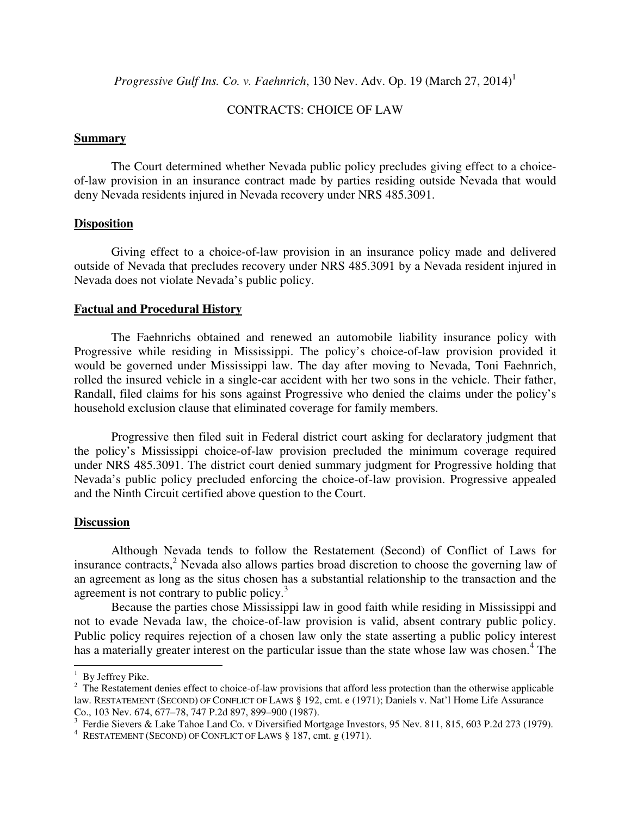*Progressive Gulf Ins. Co. v. Faehnrich*, 130 Nev. Adv. Op. 19 (March 27, 2014)<sup>1</sup>

# CONTRACTS: CHOICE OF LAW

#### **Summary**

 The Court determined whether Nevada public policy precludes giving effect to a choiceof-law provision in an insurance contract made by parties residing outside Nevada that would deny Nevada residents injured in Nevada recovery under NRS 485.3091.

## **Disposition**

 Giving effect to a choice-of-law provision in an insurance policy made and delivered outside of Nevada that precludes recovery under NRS 485.3091 by a Nevada resident injured in Nevada does not violate Nevada's public policy.

#### **Factual and Procedural History**

 The Faehnrichs obtained and renewed an automobile liability insurance policy with Progressive while residing in Mississippi. The policy's choice-of-law provision provided it would be governed under Mississippi law. The day after moving to Nevada, Toni Faehnrich, rolled the insured vehicle in a single-car accident with her two sons in the vehicle. Their father, Randall, filed claims for his sons against Progressive who denied the claims under the policy's household exclusion clause that eliminated coverage for family members.

 Progressive then filed suit in Federal district court asking for declaratory judgment that the policy's Mississippi choice-of-law provision precluded the minimum coverage required under NRS 485.3091. The district court denied summary judgment for Progressive holding that Nevada's public policy precluded enforcing the choice-of-law provision. Progressive appealed and the Ninth Circuit certified above question to the Court.

#### **Discussion**

 Although Nevada tends to follow the Restatement (Second) of Conflict of Laws for insurance contracts,<sup>2</sup> Nevada also allows parties broad discretion to choose the governing law of an agreement as long as the situs chosen has a substantial relationship to the transaction and the agreement is not contrary to public policy.<sup>3</sup>

Because the parties chose Mississippi law in good faith while residing in Mississippi and not to evade Nevada law, the choice-of-law provision is valid, absent contrary public policy. Public policy requires rejection of a chosen law only the state asserting a public policy interest has a materially greater interest on the particular issue than the state whose law was chosen.<sup>4</sup> The

ı

<sup>&</sup>lt;sup>1</sup> By Jeffrey Pike.

 $2$  The Restatement denies effect to choice-of-law provisions that afford less protection than the otherwise applicable law. RESTATEMENT (SECOND) OF CONFLICT OF LAWS § 192, cmt. e (1971); Daniels v. Nat'l Home Life Assurance

Co., 103 Nev. 674, 677–78, 747 P.2d 897, 899–900 (1987).<br><sup>3</sup> Ferdie Sievers & Lake Tahoe Land Co. v Diversified Mortgage Investors, 95 Nev. 811, 815, 603 P.2d 273 (1979).

<sup>4</sup> RESTATEMENT (SECOND) OF CONFLICT OF LAWS § 187, cmt. g (1971).